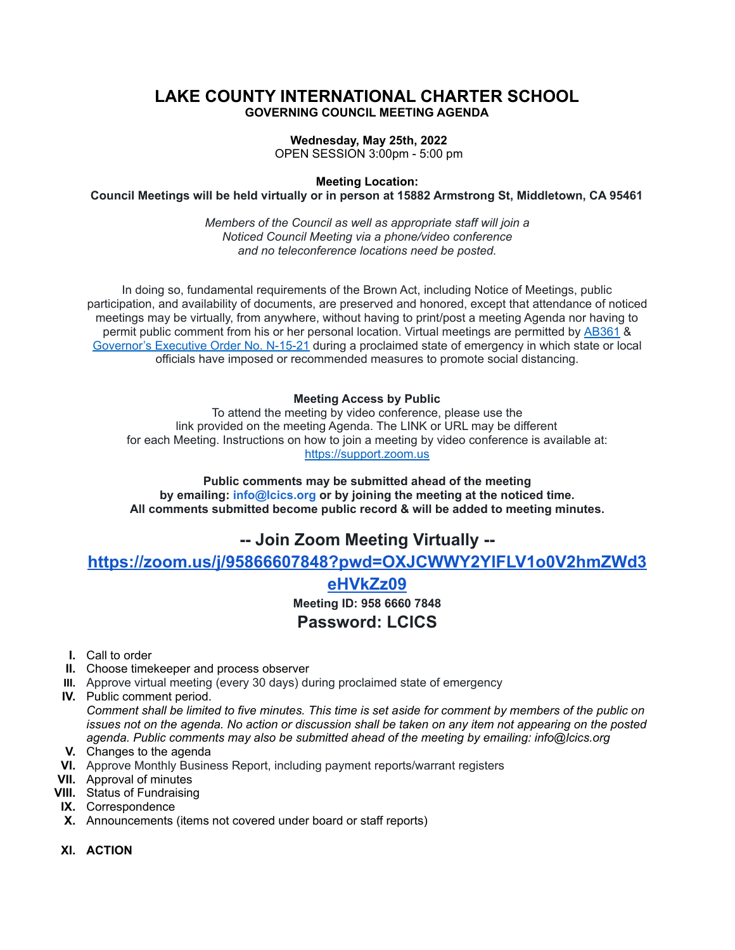## **LAKE COUNTY INTERNATIONAL CHARTER SCHOOL GOVERNING COUNCIL MEETING AGENDA**

#### **Wednesday, May 25th, 2022**

OPEN SESSION 3:00pm - 5:00 pm

**Meeting Location:**

**Council Meetings will be held virtually or in person at 15882 Armstrong St, Middletown, CA 95461**

*Members of the Council as well as appropriate staff will join a Noticed Council Meeting via a phone/video conference and no teleconference locations need be posted.*

In doing so, fundamental requirements of the Brown Act, including Notice of Meetings, public participation, and availability of documents, are preserved and honored, except that attendance of noticed meetings may be virtually, from anywhere, without having to print/post a meeting Agenda nor having to permit public comment from his or her personal location. Virtual meetings are permitted by [AB361](https://leginfo.legislature.ca.gov/faces/billTextClient.xhtml?bill_id=202120220AB361) & [Governor's](https://www.gov.ca.gov/wp-content/uploads/2021/09/9.20.21-executive-order.pdf) Executive Order No. N-15-21 during a proclaimed state of emergency in which state or local officials have imposed or recommended measures to promote social distancing.

#### **Meeting Access by Public**

To attend the meeting by video conference, please use the link provided on the meeting Agenda. The LINK or URL may be different for each Meeting. Instructions on how to join a meeting by video conference is available at: [https://support.zoom.us](https://support.zoom.us/)

**Public comments may be submitted ahead of the meeting by emailing: info@lcics.org or by joining the meeting at the noticed time. All comments submitted become public record & will be added to meeting minutes.**

## **-- Join Zoom Meeting Virtually --**

**[https://zoom.us/j/95866607848?pwd=OXJCWWY2YlFLV1o0V2hmZWd3](https://zoom.us/j/95866607848?pwd=OXJCWWY2YlFLV1o0V2hmZWd3eHVkZz09)**

# **[eHVkZz09](https://zoom.us/j/95866607848?pwd=OXJCWWY2YlFLV1o0V2hmZWd3eHVkZz09)**

**Meeting ID: 958 6660 7848**

## **Password: LCICS**

- **I.** Call to order
- **II.** Choose timekeeper and process observer
- **III.** Approve virtual meeting (every 30 days) during proclaimed state of emergency
- **IV.** Public comment period.

Comment shall be limited to five minutes. This time is set aside for comment by members of the public on issues not on the agenda. No action or discussion shall be taken on any item not appearing on the posted *agenda. Public comments may also be submitted ahead of the meeting by emailing: info@lcics.org*

- **V.** Changes to the agenda
- **VI.** Approve Monthly Business Report, including payment reports/warrant registers
- **VII.** Approval of minutes
- **VIII.** Status of Fundraising
- **IX.** Correspondence
- **X.** Announcements (items not covered under board or staff reports)
- **XI. ACTION**